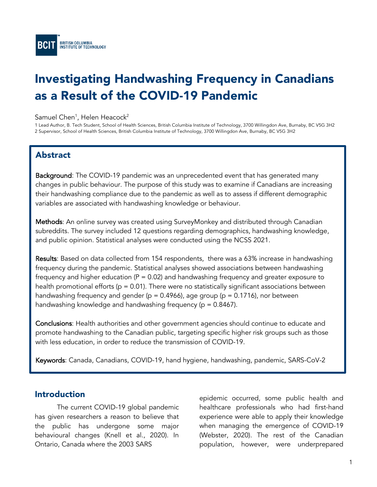

# Investigating Handwashing Frequency in Canadians as a Result of the COVID-19 Pandemic

### ${\sf Samuel\:}$ , Helen Heacock $^2$

1 Lead Author, B. Tech Student, School of Health Sciences, British Columbia Institute of Technology, 3700 Willingdon Ave, Burnaby, BC V5G 3H2 2 Supervisor, School of Health Sciences, British Columbia Institute of Technology, 3700 Willingdon Ave, Burnaby, BC V5G 3H2

# Abstract

Background: The COVID-19 pandemic was an unprecedented event that has generated many changes in public behaviour. The purpose of this study was to examine if Canadians are increasing their handwashing compliance due to the pandemic as well as to assess if different demographic variables are associated with handwashing knowledge or behaviour.

Methods: An online survey was created using SurveyMonkey and distributed through Canadian subreddits. The survey included 12 questions regarding demographics, handwashing knowledge, and public opinion. Statistical analyses were conducted using the NCSS 2021.

Results: Based on data collected from 154 respondents, there was a 63% increase in handwashing frequency during the pandemic. Statistical analyses showed associations between handwashing frequency and higher education ( $P = 0.02$ ) and handwashing frequency and greater exposure to health promotional efforts ( $p = 0.01$ ). There were no statistically significant associations between handwashing frequency and gender ( $p = 0.4966$ ), age group ( $p = 0.1716$ ), nor between handwashing knowledge and handwashing frequency ( $p = 0.8467$ ).

Conclusions: Health authorities and other government agencies should continue to educate and promote handwashing to the Canadian public, targeting specific higher risk groups such as those with less education, in order to reduce the transmission of COVID-19.

Keywords: Canada, Canadians, COVID-19, hand hygiene, handwashing, pandemic, SARS-CoV-2

# Introduction

The current COVID-19 global pandemic has given researchers a reason to believe that the public has undergone some major behavioural changes (Knell et al., 2020). In Ontario, Canada where the 2003 SARS

epidemic occurred, some public health and healthcare professionals who had first-hand experience were able to apply their knowledge when managing the emergence of COVID-19 (Webster, 2020). The rest of the Canadian population, however, were underprepared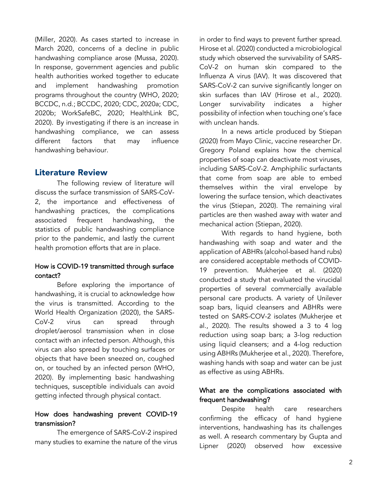(Miller, 2020). As cases started to increase in March 2020, concerns of a decline in public handwashing compliance arose (Mussa, 2020). In response, government agencies and public health authorities worked together to educate and implement handwashing promotion programs throughout the country (WHO, 2020; BCCDC, n.d.; BCCDC, 2020; CDC, 2020a; CDC, 2020b; WorkSafeBC, 2020; HealthLink BC, 2020). By investigating if there is an increase in handwashing compliance, we can assess different factors that may influence handwashing behaviour.

## Literature Review

The following review of literature will discuss the surface transmission of SARS-CoV-2, the importance and effectiveness of handwashing practices, the complications associated frequent handwashing, the statistics of public handwashing compliance prior to the pandemic, and lastly the current health promotion efforts that are in place.

## How is COVID-19 transmitted through surface contact?

Before exploring the importance of handwashing, it is crucial to acknowledge how the virus is transmitted. According to the World Health Organization (2020), the SARS-CoV-2 virus can spread through droplet/aerosol transmission when in close contact with an infected person. Although, this virus can also spread by touching surfaces or objects that have been sneezed on, coughed on, or touched by an infected person (WHO, 2020). By implementing basic handwashing techniques, susceptible individuals can avoid getting infected through physical contact.

## How does handwashing prevent COVID-19 transmission?

The emergence of SARS-CoV-2 inspired many studies to examine the nature of the virus in order to find ways to prevent further spread. Hirose et al. (2020) conducted a microbiological study which observed the survivability of SARS-CoV-2 on human skin compared to the Influenza A virus (IAV). It was discovered that SARS-CoV-2 can survive significantly longer on skin surfaces than IAV (Hirose et al., 2020). Longer survivability indicates a higher possibility of infection when touching one's face with unclean hands.

In a news article produced by Stiepan (2020) from Mayo Clinic, vaccine researcher Dr. Gregory Poland explains how the chemical properties of soap can deactivate most viruses, including SARS-CoV-2. Amphiphilic surfactants that come from soap are able to embed themselves within the viral envelope by lowering the surface tension, which deactivates the virus (Stiepan, 2020). The remaining viral particles are then washed away with water and mechanical action (Stiepan, 2020).

With regards to hand hygiene, both handwashing with soap and water and the application of ABHRs (alcohol-based hand rubs) are considered acceptable methods of COVID-19 prevention. Mukherjee et al. (2020) conducted a study that evaluated the virucidal properties of several commercially available personal care products. A variety of Unilever soap bars, liquid cleansers and ABHRs were tested on SARS-COV-2 isolates (Mukherjee et al., 2020). The results showed a 3 to 4 log reduction using soap bars; a 3-log reduction using liquid cleansers; and a 4-log reduction using ABHRs (Mukherjee et al., 2020). Therefore, washing hands with soap and water can be just as effective as using ABHRs.

## What are the complications associated with frequent handwashing?

Despite health care researchers confirming the efficacy of hand hygiene interventions, handwashing has its challenges as well. A research commentary by Gupta and Lipner (2020) observed how excessive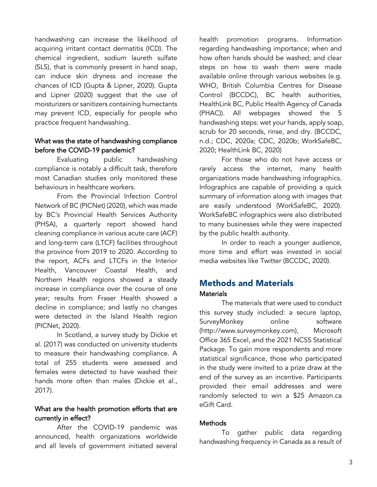handwashing can increase the likelihood of acquiring irritant contact dermatitis (ICD). The chemical ingredient, sodium laureth sulfate (SLS), that is commonly present in hand soap, can induce skin dryness and increase the chances of ICD (Gupta & Lipner, 2020). Gupta and Lipner (2020) suggest that the use of moisturizers or sanitizers containing humectants may prevent ICD, especially for people who practice frequent handwashing.

## What was the state of handwashing compliance before the COVID-19 pandemic?

Evaluating public handwashing compliance is notably a difficult task, therefore most Canadian studies only monitored these behaviours in healthcare workers.

From the Provincial Infection Control Network of BC (PICNet) (2020), which was made by BC's Provincial Health Services Authority (PHSA), a quarterly report showed hand cleaning compliance in various acute care (ACF) and long-term care (LTCF) facilities throughout the province from 2019 to 2020. According to the report, ACFs and LTCFs in the Interior Health, Vancouver Coastal Health, and Northern Health regions showed a steady increase in compliance over the course of one year; results from Fraser Health showed a decline in compliance; and lastly no changes were detected in the Island Health region (PICNet, 2020).

In Scotland, a survey study by Dickie et al. (2017) was conducted on university students to measure their handwashing compliance. A total of 255 students were assessed and females were detected to have washed their hands more often than males (Dickie et al., 2017).

## What are the health promotion efforts that are currently in effect?

After the COVID-19 pandemic was announced, health organizations worldwide and all levels of government initiated several

health promotion programs. Information regarding handwashing importance; when and how often hands should be washed; and clear steps on how to wash them were made available online through various websites (e.g. WHO, British Columbia Centres for Disease Control (BCCDC), BC health authorities, HealthLink BC, Public Health Agency of Canada (PHAC)). All webpages showed the 5 handwashing steps: wet your hands, apply soap, scrub for 20 seconds, rinse, and dry. (BCCDC, n.d.; CDC, 2020a; CDC, 2020b; WorkSafeBC, 2020; HealthLink BC, 2020)

For those who do not have access or rarely access the internet, many health organizations made handwashing infographics. Infographics are capable of providing a quick summary of information along with images that are easily understood (WorkSafeBC, 2020). WorkSafeBC infographics were also distributed to many businesses while they were inspected by the public health authority.

In order to reach a younger audience, more time and effort was invested in social media websites like Twitter (BCCDC, 2020).

## Methods and Materials **Materials**

The materials that were used to conduct this survey study included: a secure laptop, SurveyMonkey online software (http://www.surveymonkey.com), Microsoft Office 365 Excel, and the 2021 NCSS Statistical Package. To gain more respondents and more statistical significance, those who participated in the study were invited to a prize draw at the end of the survey as an incentive. Participants provided their email addresses and were randomly selected to win a \$25 Amazon.ca eGift Card.

## **Methods**

To gather public data regarding handwashing frequency in Canada as a result of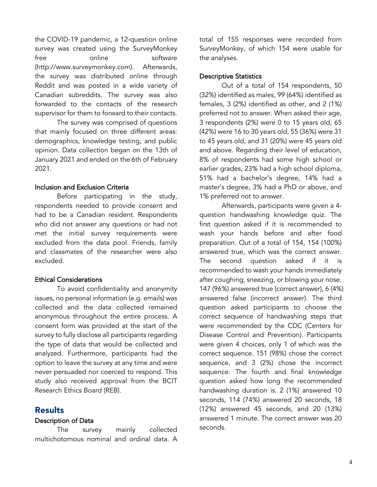the COVID-19 pandemic, a 12-question online survey was created using the SurveyMonkey free online software (http://www.surveymonkey.com). Afterwards, the survey was distributed online through Reddit and was posted in a wide variety of Canadian subreddits. The survey was also forwarded to the contacts of the research supervisor for them to forward to their contacts.

The survey was comprised of questions that mainly focused on three different areas: demographics, knowledge testing, and public opinion. Data collection began on the 13th of January 2021 and ended on the 6th of February 2021.

#### Inclusion and Exclusion Criteria

Before participating in the study, respondents needed to provide consent and had to be a Canadian resident. Respondents who did not answer any questions or had not met the initial survey requirements were excluded from the data pool. Friends, family and classmates of the researcher were also excluded.

## Ethical Considerations

To avoid confidentiality and anonymity issues, no personal information (e.g. emails) was collected and the data collected remained anonymous throughout the entire process. A consent form was provided at the start of the survey to fully disclose all participants regarding the type of data that would be collected and analyzed. Furthermore, participants had the option to leave the survey at any time and were never persuaded nor coerced to respond. This study also received approval from the BCIT Research Ethics Board (REB).

## **Results**

#### Description of Data

The survey mainly collected multichotomous nominal and ordinal data. A total of 155 responses were recorded from SurveyMonkey, of which 154 were usable for the analyses.

## Descriptive Statistics

Out of a total of 154 respondents, 50 (32%) identified as males, 99 (64%) identified as females, 3 (2%) identified as other, and 2 (1%) preferred not to answer. When asked their age, 3 respondents (2%) were 0 to 15 years old, 65 (42%) were 16 to 30 years old, 55 (36%) were 31 to 45 years old, and 31 (20%) were 45 years old and above. Regarding their level of education, 8% of respondents had some high school or earlier grades, 23% had a high school diploma, 51% had a bachelor's degree, 14% had a master's degree, 3% had a PhD or above, and 1% preferred not to answer.

Afterwards, participants were given a 4 question handwashing knowledge quiz. The first question asked if it is recommended to wash your hands before and after food preparation. Out of a total of 154, 154 (100%) answered true, which was the correct answer. The second question asked if it is recommended to wash your hands immediately after coughing, sneezing, or blowing your nose. 147 (96%) answered true (correct answer), 6 (4%) answered false (incorrect answer). The third question asked participants to choose the correct sequence of handwashing steps that were recommended by the CDC (Centers for Disease Control and Prevention). Participants were given 4 choices, only 1 of which was the correct sequence. 151 (98%) chose the correct sequence, and 3 (2%) chose the incorrect sequence. The fourth and final knowledge question asked how long the recommended handwashing duration is. 2 (1%) answered 10 seconds, 114 (74%) answered 20 seconds, 18 (12%) answered 45 seconds, and 20 (13%) answered 1 minute. The correct answer was 20 seconds.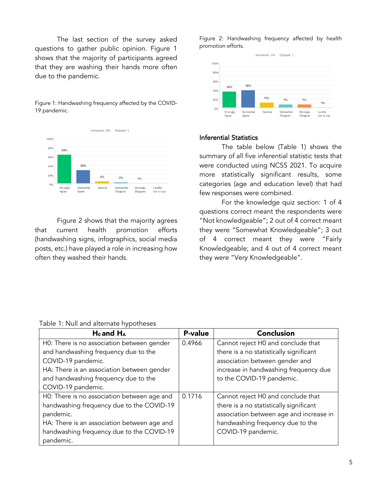The last section of the survey asked questions to gather public opinion. Figure 1 shows that the majority of participants agreed that they are washing their hands more often due to the pandemic.

Figure 1: Handwashing frequency affected by the COVID-19 pandemic.



Figure 2 shows that the majority agrees that current health promotion efforts (handwashing signs, infographics, social media posts, etc.) have played a role in increasing how often they washed their hands.

Figure 2: Handwashing frequency affected by health promotion efforts.



#### Inferential Statistics

The table below (Table 1) shows the summary of all five inferential statistic tests that were conducted using NCSS 2021. To acquire more statistically significant results, some categories (age and education level) that had few responses were combined.

For the knowledge quiz section: 1 of 4 questions correct meant the respondents were "Not knowledgeable"; 2 out of 4 correct meant they were "Somewhat Knowledgeable"; 3 out of 4 correct meant they were "Fairly Knowledgeable; and 4 out of 4 correct meant they were "Very Knowledgeable".

| Table 1: Null and alternate hypotheses |   |  |
|----------------------------------------|---|--|
|                                        | . |  |

| $H_0$ and $H_A$                             | <b>P-value</b> | <b>Conclusion</b>                       |
|---------------------------------------------|----------------|-----------------------------------------|
| H0: There is no association between gender  | 0.4966         | Cannot reject H0 and conclude that      |
| and handwashing frequency due to the        |                | there is a no statistically significant |
| COVID-19 pandemic.                          |                | association between gender and          |
| HA: There is an association between gender  |                | increase in handwashing frequency due   |
| and handwashing frequency due to the        |                | to the COVID-19 pandemic.               |
| COVID-19 pandemic.                          |                |                                         |
| H0: There is no association between age and | 0.1716         | Cannot reject H0 and conclude that      |
| handwashing frequency due to the COVID-19   |                | there is a no statistically significant |
| pandemic.                                   |                | association between age and increase in |
| HA: There is an association between age and |                | handwashing frequency due to the        |
| handwashing frequency due to the COVID-19   |                | COVID-19 pandemic.                      |
| pandemic.                                   |                |                                         |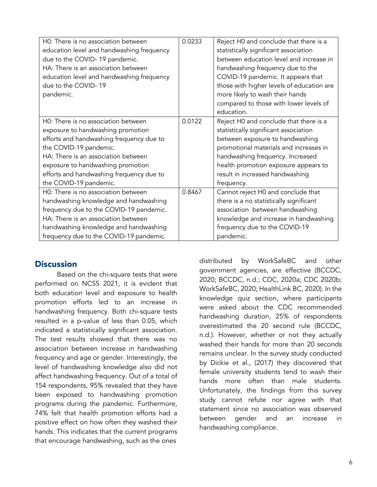| H0: There is no association between       | 0.0233 | Reject H0 and conclude that there is a    |
|-------------------------------------------|--------|-------------------------------------------|
| education level and handwashing frequency |        | statistically significant association     |
| due to the COVID-19 pandemic.             |        | between education level and increase in   |
| HA: There is an association between       |        | handwashing frequency due to the          |
| education level and handwashing frequency |        | COVID-19 pandemic. It appears that        |
| due to the COVID-19                       |        | those with higher levels of education are |
| pandemic.                                 |        | more likely to wash their hands           |
|                                           |        | compared to those with lower levels of    |
|                                           |        | education.                                |
| H0: There is no association between       | 0.0122 | Reject H0 and conclude that there is a    |
| exposure to handwashing promotion         |        | statistically significant association     |
| efforts and handwashing frequency due to  |        | between exposure to handwashing           |
| the COVID-19 pandemic.                    |        | promotional materials and increases in    |
| HA: There is an association between       |        | handwashing frequency. Increased          |
| exposure to handwashing promotion         |        | health promotion exposure appears to      |
| efforts and handwashing frequency due to  |        | result in increased handwashing           |
| the COVID-19 pandemic.                    |        | frequency.                                |
| H0: There is no association between       | 0.8467 | Cannot reject H0 and conclude that        |
| handwashing knowledge and handwashing     |        | there is a no statistically significant   |
| frequency due to the COVID-19 pandemic.   |        | association between handwashing           |
| HA: There is an association between       |        | knowledge and increase in handwashing     |
| handwashing knowledge and handwashing     |        | frequency due to the COVID-19             |
| frequency due to the COVID-19 pandemic.   |        | pandemic.                                 |

## **Discussion**

Based on the chi-square tests that were performed on NCSS 2021, it is evident that both education level and exposure to health promotion efforts led to an increase in handwashing frequency. Both chi-square tests resulted in a p-value of less than 0.05, which indicated a statistically significant association. The test results showed that there was no association between increase in handwashing frequency and age or gender. Interestingly, the level of handwashing knowledge also did not affect handwashing frequency. Out of a total of 154 respondents, 95% revealed that they have been exposed to handwashing promotion programs during the pandemic. Furthermore, 74% felt that health promotion efforts had a positive effect on how often they washed their hands. This indicates that the current programs that encourage handwashing, such as the ones

distributed by WorkSafeBC and other government agencies, are effective (BCCDC, 2020; BCCDC, n.d.; CDC, 2020a; CDC 2020b; WorkSafeBC, 2020; HealthLink BC, 2020). In the knowledge quiz section, where participants were asked about the CDC recommended handwashing duration, 25% of respondents overestimated the 20 second rule (BCCDC, n.d.). However, whether or not they actually washed their hands for more than 20 seconds remains unclear. In the survey study conducted by Dickie et al., (2017) they discovered that female university students tend to wash their hands more often than male students. Unfortunately, the findings from this survey study cannot refute nor agree with that statement since no association was observed between gender and an increase in handwashing compliance.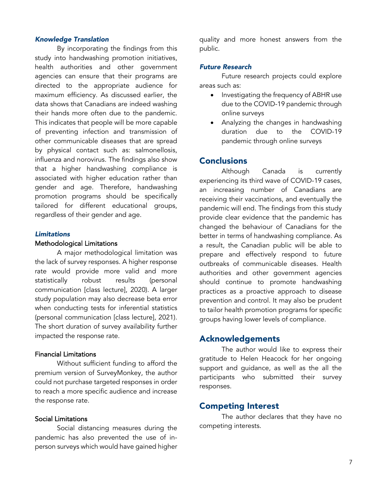#### *Knowledge Translation*

By incorporating the findings from this study into handwashing promotion initiatives, health authorities and other government agencies can ensure that their programs are directed to the appropriate audience for maximum efficiency. As discussed earlier, the data shows that Canadians are indeed washing their hands more often due to the pandemic. This indicates that people will be more capable of preventing infection and transmission of other communicable diseases that are spread by physical contact such as: salmonellosis, influenza and norovirus. The findings also show that a higher handwashing compliance is associated with higher education rather than gender and age. Therefore, handwashing promotion programs should be specifically tailored for different educational groups, regardless of their gender and age.

#### *Limitations*

#### Methodological Limitations

A major methodological limitation was the lack of survey responses. A higher response rate would provide more valid and more statistically robust results (personal communication [class lecture], 2020). A larger study population may also decrease beta error when conducting tests for inferential statistics (personal communication [class lecture], 2021). The short duration of survey availability further impacted the response rate.

#### Financial Limitations

Without sufficient funding to afford the premium version of SurveyMonkey, the author could not purchase targeted responses in order to reach a more specific audience and increase the response rate.

#### Social Limitations

Social distancing measures during the pandemic has also prevented the use of inperson surveys which would have gained higher quality and more honest answers from the public.

#### *Future Research*

Future research projects could explore areas such as:

- Investigating the frequency of ABHR use due to the COVID-19 pandemic through online surveys
- Analyzing the changes in handwashing duration due to the COVID-19 pandemic through online surveys

## **Conclusions**

Although Canada is currently experiencing its third wave of COVID-19 cases, an increasing number of Canadians are receiving their vaccinations, and eventually the pandemic will end. The findings from this study provide clear evidence that the pandemic has changed the behaviour of Canadians for the better in terms of handwashing compliance. As a result, the Canadian public will be able to prepare and effectively respond to future outbreaks of communicable diseases. Health authorities and other government agencies should continue to promote handwashing practices as a proactive approach to disease prevention and control. It may also be prudent to tailor health promotion programs for specific groups having lower levels of compliance.

## Acknowledgements

The author would like to express their gratitude to Helen Heacock for her ongoing support and guidance, as well as the all the participants who submitted their survey responses.

#### Competing Interest

The author declares that they have no competing interests.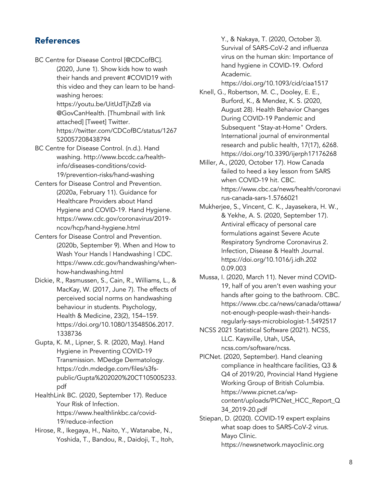# References

- BC Centre for Disease Control [@CDCofBC].
- (2020, June 1). Show kids how to wash their hands and prevent #COVID19 with this video and they can learn to be handwashing heroes: https://youtu.be/UitUdTjhZz8 via @GovCanHealth. [Thumbnail with link attached] [Tweet] Twitter. https://twitter.com/CDCofBC/status/1267 520057208438794
- BC Centre for Disease Control. (n.d.). Hand washing. http://www.bccdc.ca/healthinfo/diseases-conditions/covid-19/prevention-risks/hand-washing
- Centers for Disease Control and Prevention. (2020a, February 11). Guidance for Healthcare Providers about Hand Hygiene and COVID-19. Hand Hygiene. https://www.cdc.gov/coronavirus/2019 ncov/hcp/hand-hygiene.html
- Centers for Disease Control and Prevention. (2020b, September 9). When and How to Wash Your Hands | Handwashing | CDC. https://www.cdc.gov/handwashing/whenhow-handwashing.html
- Dickie, R., Rasmussen, S., Cain, R., Williams, L., & MacKay, W. (2017, June 7). The effects of perceived social norms on handwashing behaviour in students. Psychology, Health & Medicine, 23(2), 154–159. https://doi.org/10.1080/13548506.2017. 1338736
- Gupta, K. M., Lipner, S. R. (2020, May). Hand Hygiene in Preventing COVID-19 Transmission. MDedge Dermatology. https://cdn.mdedge.com/files/s3fspublic/Gupta%202020%20CT105005233. pdf
- HealthLink BC. (2020, September 17). Reduce Your Risk of Infection. https://www.healthlinkbc.ca/covid-19/reduce-infection
- Hirose, R., Ikegaya, H., Naito, Y., Watanabe, N., Yoshida, T., Bandou, R., Daidoji, T., Itoh,

Y., & Nakaya, T. (2020, October 3). Survival of SARS-CoV-2 and influenza virus on the human skin: Importance of hand hygiene in COVID-19. Oxford Academic.

https://doi.org/10.1093/cid/ciaa1517

- Knell, G., Robertson, M. C., Dooley, E. E., Burford, K., & Mendez, K. S. (2020, August 28). Health Behavior Changes During COVID-19 Pandemic and Subsequent "Stay-at-Home" Orders. International journal of environmental research and public health, 17(17), 6268. https://doi.org/10.3390/ijerph17176268
- Miller, A., (2020, October 17). How Canada failed to heed a key lesson from SARS when COVID-19 hit. CBC. https://www.cbc.ca/news/health/coronavi rus-canada-sars-1.5766021
- Mukherjee, S., Vincent, C. K., Jayasekera, H. W., & Yekhe, A. S. (2020, September 17). Antiviral efficacy of personal care formulations against Severe Acute Respiratory Syndrome Coronavirus 2. Infection, Disease & Health Journal. https://doi.org/10.1016/j.idh.202 0.09.003
- Mussa, I. (2020, March 11). Never mind COVID-19, half of you aren't even washing your hands after going to the bathroom. CBC. https://www.cbc.ca/news/canada/ottawa/ not-enough-people-wash-their-handsregularly-says-microbiologist-1.5492517
- NCSS 2021 Statistical Software (2021). NCSS, LLC. Kaysville, Utah, USA, ncss.com/software/ncss.
- PICNet. (2020, September). Hand cleaning compliance in healthcare facilities, Q3 & Q4 of 2019/20, Provincial Hand Hygiene Working Group of British Columbia. https://www.picnet.ca/wpcontent/uploads/PICNet\_HCC\_Report\_Q 34\_2019-20.pdf
- Stiepan, D. (2020). COVID-19 expert explains what soap does to SARS-CoV-2 virus. Mayo Clinic. https://newsnetwork.mayoclinic.org